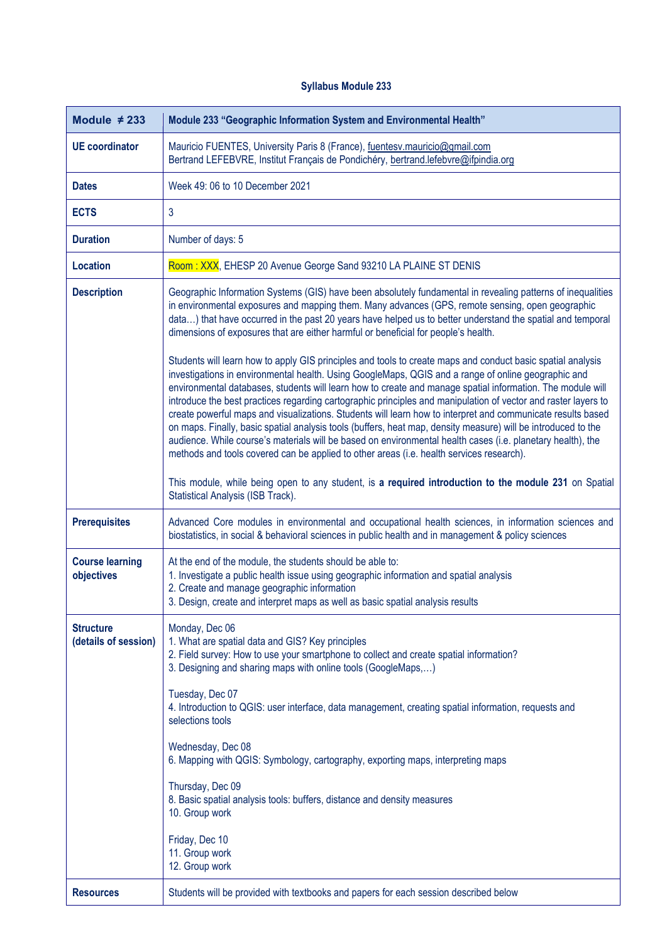## **Syllabus Module 233**

| Module $\neq$ 233                        | Module 233 "Geographic Information System and Environmental Health"                                                                                                                                                                                                                                                                                                                                                                                                                                                                                                                                                                                                                                                                                                                                                                                                                                                                                                                                                                                                                                                                                                                                                                                                                                                  |
|------------------------------------------|----------------------------------------------------------------------------------------------------------------------------------------------------------------------------------------------------------------------------------------------------------------------------------------------------------------------------------------------------------------------------------------------------------------------------------------------------------------------------------------------------------------------------------------------------------------------------------------------------------------------------------------------------------------------------------------------------------------------------------------------------------------------------------------------------------------------------------------------------------------------------------------------------------------------------------------------------------------------------------------------------------------------------------------------------------------------------------------------------------------------------------------------------------------------------------------------------------------------------------------------------------------------------------------------------------------------|
| <b>UE</b> coordinator                    | Mauricio FUENTES, University Paris 8 (France), fuentesv.mauricio@gmail.com<br>Bertrand LEFEBVRE, Institut Français de Pondichéry, bertrand.lefebvre@ifpindia.org                                                                                                                                                                                                                                                                                                                                                                                                                                                                                                                                                                                                                                                                                                                                                                                                                                                                                                                                                                                                                                                                                                                                                     |
| <b>Dates</b>                             | Week 49: 06 to 10 December 2021                                                                                                                                                                                                                                                                                                                                                                                                                                                                                                                                                                                                                                                                                                                                                                                                                                                                                                                                                                                                                                                                                                                                                                                                                                                                                      |
| <b>ECTS</b>                              | $\mathbf{3}$                                                                                                                                                                                                                                                                                                                                                                                                                                                                                                                                                                                                                                                                                                                                                                                                                                                                                                                                                                                                                                                                                                                                                                                                                                                                                                         |
| <b>Duration</b>                          | Number of days: 5                                                                                                                                                                                                                                                                                                                                                                                                                                                                                                                                                                                                                                                                                                                                                                                                                                                                                                                                                                                                                                                                                                                                                                                                                                                                                                    |
| <b>Location</b>                          | Room: XXX, EHESP 20 Avenue George Sand 93210 LA PLAINE ST DENIS                                                                                                                                                                                                                                                                                                                                                                                                                                                                                                                                                                                                                                                                                                                                                                                                                                                                                                                                                                                                                                                                                                                                                                                                                                                      |
| <b>Description</b>                       | Geographic Information Systems (GIS) have been absolutely fundamental in revealing patterns of inequalities<br>in environmental exposures and mapping them. Many advances (GPS, remote sensing, open geographic<br>data) that have occurred in the past 20 years have helped us to better understand the spatial and temporal<br>dimensions of exposures that are either harmful or beneficial for people's health.<br>Students will learn how to apply GIS principles and tools to create maps and conduct basic spatial analysis<br>investigations in environmental health. Using GoogleMaps, QGIS and a range of online geographic and<br>environmental databases, students will learn how to create and manage spatial information. The module will<br>introduce the best practices regarding cartographic principles and manipulation of vector and raster layers to<br>create powerful maps and visualizations. Students will learn how to interpret and communicate results based<br>on maps. Finally, basic spatial analysis tools (buffers, heat map, density measure) will be introduced to the<br>audience. While course's materials will be based on environmental health cases (i.e. planetary health), the<br>methods and tools covered can be applied to other areas (i.e. health services research). |
|                                          | This module, while being open to any student, is a required introduction to the module 231 on Spatial<br>Statistical Analysis (ISB Track).                                                                                                                                                                                                                                                                                                                                                                                                                                                                                                                                                                                                                                                                                                                                                                                                                                                                                                                                                                                                                                                                                                                                                                           |
| <b>Prerequisites</b>                     | Advanced Core modules in environmental and occupational health sciences, in information sciences and<br>biostatistics, in social & behavioral sciences in public health and in management & policy sciences                                                                                                                                                                                                                                                                                                                                                                                                                                                                                                                                                                                                                                                                                                                                                                                                                                                                                                                                                                                                                                                                                                          |
| <b>Course learning</b><br>objectives     | At the end of the module, the students should be able to:<br>1. Investigate a public health issue using geographic information and spatial analysis<br>2. Create and manage geographic information<br>3. Design, create and interpret maps as well as basic spatial analysis results                                                                                                                                                                                                                                                                                                                                                                                                                                                                                                                                                                                                                                                                                                                                                                                                                                                                                                                                                                                                                                 |
| <b>Structure</b><br>(details of session) | Monday, Dec 06<br>1. What are spatial data and GIS? Key principles<br>2. Field survey: How to use your smartphone to collect and create spatial information?<br>3. Designing and sharing maps with online tools (GoogleMaps,)<br>Tuesday, Dec 07<br>4. Introduction to QGIS: user interface, data management, creating spatial information, requests and<br>selections tools<br>Wednesday, Dec 08<br>6. Mapping with QGIS: Symbology, cartography, exporting maps, interpreting maps<br>Thursday, Dec 09<br>8. Basic spatial analysis tools: buffers, distance and density measures<br>10. Group work<br>Friday, Dec 10<br>11. Group work<br>12. Group work                                                                                                                                                                                                                                                                                                                                                                                                                                                                                                                                                                                                                                                          |
| <b>Resources</b>                         | Students will be provided with textbooks and papers for each session described below                                                                                                                                                                                                                                                                                                                                                                                                                                                                                                                                                                                                                                                                                                                                                                                                                                                                                                                                                                                                                                                                                                                                                                                                                                 |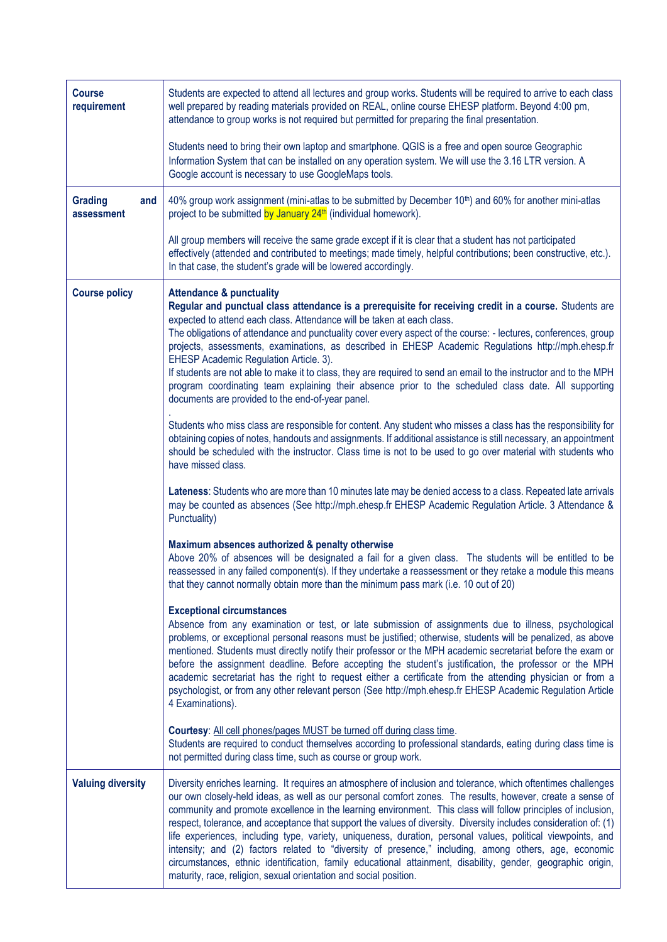| <b>Course</b><br>requirement        | Students are expected to attend all lectures and group works. Students will be required to arrive to each class<br>well prepared by reading materials provided on REAL, online course EHESP platform. Beyond 4:00 pm,<br>attendance to group works is not required but permitted for preparing the final presentation.                                                                                                                                                                                                                                                                                                                                                                                                                                                                                                                                                         |
|-------------------------------------|--------------------------------------------------------------------------------------------------------------------------------------------------------------------------------------------------------------------------------------------------------------------------------------------------------------------------------------------------------------------------------------------------------------------------------------------------------------------------------------------------------------------------------------------------------------------------------------------------------------------------------------------------------------------------------------------------------------------------------------------------------------------------------------------------------------------------------------------------------------------------------|
|                                     | Students need to bring their own laptop and smartphone. QGIS is a free and open source Geographic<br>Information System that can be installed on any operation system. We will use the 3.16 LTR version. A<br>Google account is necessary to use GoogleMaps tools.                                                                                                                                                                                                                                                                                                                                                                                                                                                                                                                                                                                                             |
| <b>Grading</b><br>and<br>assessment | 40% group work assignment (mini-atlas to be submitted by December 10th) and 60% for another mini-atlas<br>project to be submitted by January 24 <sup>th</sup> (individual homework).                                                                                                                                                                                                                                                                                                                                                                                                                                                                                                                                                                                                                                                                                           |
|                                     | All group members will receive the same grade except if it is clear that a student has not participated<br>effectively (attended and contributed to meetings; made timely, helpful contributions; been constructive, etc.).<br>In that case, the student's grade will be lowered accordingly.                                                                                                                                                                                                                                                                                                                                                                                                                                                                                                                                                                                  |
| <b>Course policy</b>                | <b>Attendance &amp; punctuality</b><br>Regular and punctual class attendance is a prerequisite for receiving credit in a course. Students are<br>expected to attend each class. Attendance will be taken at each class.<br>The obligations of attendance and punctuality cover every aspect of the course: - lectures, conferences, group<br>projects, assessments, examinations, as described in EHESP Academic Regulations http://mph.ehesp.fr<br>EHESP Academic Regulation Article. 3).<br>If students are not able to make it to class, they are required to send an email to the instructor and to the MPH<br>program coordinating team explaining their absence prior to the scheduled class date. All supporting<br>documents are provided to the end-of-year panel.                                                                                                    |
|                                     | Students who miss class are responsible for content. Any student who misses a class has the responsibility for<br>obtaining copies of notes, handouts and assignments. If additional assistance is still necessary, an appointment<br>should be scheduled with the instructor. Class time is not to be used to go over material with students who<br>have missed class.                                                                                                                                                                                                                                                                                                                                                                                                                                                                                                        |
|                                     | Lateness: Students who are more than 10 minutes late may be denied access to a class. Repeated late arrivals<br>may be counted as absences (See http://mph.ehesp.fr EHESP Academic Regulation Article. 3 Attendance &<br>Punctuality)                                                                                                                                                                                                                                                                                                                                                                                                                                                                                                                                                                                                                                          |
|                                     | Maximum absences authorized & penalty otherwise<br>Above 20% of absences will be designated a fail for a given class. The students will be entitled to be<br>reassessed in any failed component(s). If they undertake a reassessment or they retake a module this means<br>that they cannot normally obtain more than the minimum pass mark (i.e. 10 out of 20)                                                                                                                                                                                                                                                                                                                                                                                                                                                                                                                |
|                                     | <b>Exceptional circumstances</b><br>Absence from any examination or test, or late submission of assignments due to illness, psychological<br>problems, or exceptional personal reasons must be justified; otherwise, students will be penalized, as above<br>mentioned. Students must directly notify their professor or the MPH academic secretariat before the exam or<br>before the assignment deadline. Before accepting the student's justification, the professor or the MPH<br>academic secretariat has the right to request either a certificate from the attending physician or from a<br>psychologist, or from any other relevant person (See http://mph.ehesp.fr EHESP Academic Regulation Article<br>4 Examinations).                                                                                                                                              |
|                                     | Courtesy: All cell phones/pages MUST be turned off during class time.<br>Students are required to conduct themselves according to professional standards, eating during class time is<br>not permitted during class time, such as course or group work.                                                                                                                                                                                                                                                                                                                                                                                                                                                                                                                                                                                                                        |
| <b>Valuing diversity</b>            | Diversity enriches learning. It requires an atmosphere of inclusion and tolerance, which oftentimes challenges<br>our own closely-held ideas, as well as our personal comfort zones. The results, however, create a sense of<br>community and promote excellence in the learning environment. This class will follow principles of inclusion,<br>respect, tolerance, and acceptance that support the values of diversity. Diversity includes consideration of: (1)<br>life experiences, including type, variety, uniqueness, duration, personal values, political viewpoints, and<br>intensity; and (2) factors related to "diversity of presence," including, among others, age, economic<br>circumstances, ethnic identification, family educational attainment, disability, gender, geographic origin,<br>maturity, race, religion, sexual orientation and social position. |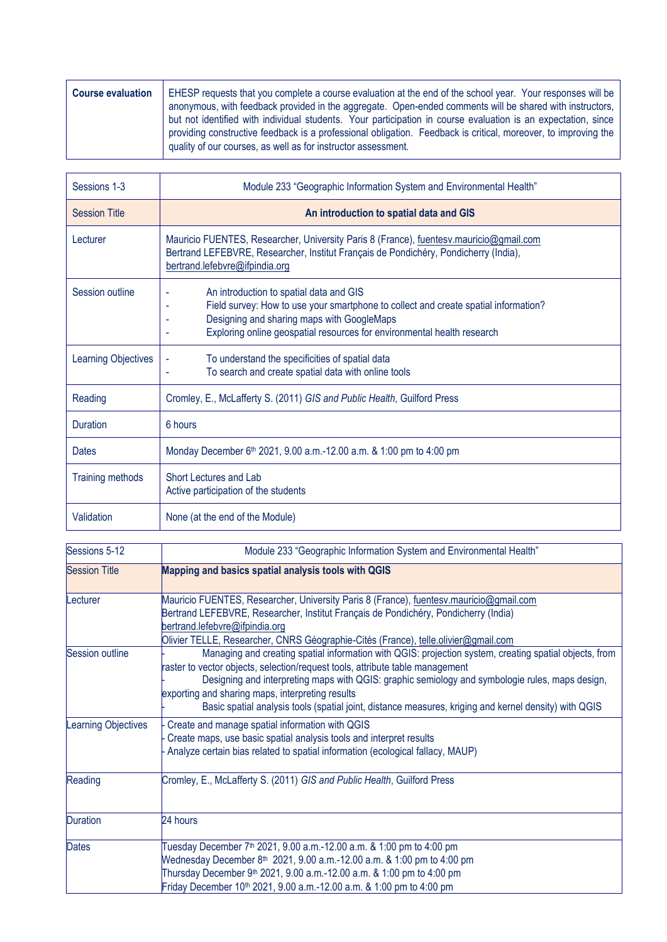| <b>Course evaluation</b> | EHESP requests that you complete a course evaluation at the end of the school year. Your responses will be<br>anonymous, with feedback provided in the aggregate. Open-ended comments will be shared with instructors,<br>but not identified with individual students. Your participation in course evaluation is an expectation, since<br>providing constructive feedback is a professional obligation. Feedback is critical, moreover, to improving the<br>quality of our courses, as well as for instructor assessment. |
|--------------------------|----------------------------------------------------------------------------------------------------------------------------------------------------------------------------------------------------------------------------------------------------------------------------------------------------------------------------------------------------------------------------------------------------------------------------------------------------------------------------------------------------------------------------|
|                          |                                                                                                                                                                                                                                                                                                                                                                                                                                                                                                                            |

| Sessions 1-3               | Module 233 "Geographic Information System and Environmental Health"                                                                                                                                                                                     |
|----------------------------|---------------------------------------------------------------------------------------------------------------------------------------------------------------------------------------------------------------------------------------------------------|
| <b>Session Title</b>       | An introduction to spatial data and GIS                                                                                                                                                                                                                 |
| Lecturer                   | Mauricio FUENTES, Researcher, University Paris 8 (France), fuentesy mauricio@gmail.com<br>Bertrand LEFEBVRE, Researcher, Institut Français de Pondichéry, Pondicherry (India),<br>bertrand.lefebvre@ifpindia.org                                        |
| Session outline            | An introduction to spatial data and GIS<br>Field survey: How to use your smartphone to collect and create spatial information?<br>Designing and sharing maps with GoogleMaps<br>Exploring online geospatial resources for environmental health research |
| <b>Learning Objectives</b> | To understand the specificities of spatial data<br>To search and create spatial data with online tools                                                                                                                                                  |
| Reading                    | Cromley, E., McLafferty S. (2011) GIS and Public Health, Guilford Press                                                                                                                                                                                 |
| <b>Duration</b>            | 6 hours                                                                                                                                                                                                                                                 |
| <b>Dates</b>               | Monday December 6 <sup>th</sup> 2021, 9.00 a.m.-12.00 a.m. & 1:00 pm to 4:00 pm                                                                                                                                                                         |
| <b>Training methods</b>    | Short Lectures and Lab<br>Active participation of the students                                                                                                                                                                                          |
| Validation                 | None (at the end of the Module)                                                                                                                                                                                                                         |

| Sessions 5-12        | Module 233 "Geographic Information System and Environmental Health"                                                                                                                                                                                                                                                                                                                                                                                     |
|----------------------|---------------------------------------------------------------------------------------------------------------------------------------------------------------------------------------------------------------------------------------------------------------------------------------------------------------------------------------------------------------------------------------------------------------------------------------------------------|
| <b>Session Title</b> | Mapping and basics spatial analysis tools with QGIS                                                                                                                                                                                                                                                                                                                                                                                                     |
| Lecturer             | Mauricio FUENTES, Researcher, University Paris 8 (France), fuentesy mauricio@gmail.com<br>Bertrand LEFEBVRE, Researcher, Institut Français de Pondichéry, Pondicherry (India)<br>bertrand.lefebvre@ifpindia.org<br>Olivier TELLE, Researcher, CNRS Géographie-Cités (France), telle.olivier@gmail.com                                                                                                                                                   |
| Session outline      | Managing and creating spatial information with QGIS: projection system, creating spatial objects, from<br>raster to vector objects, selection/request tools, attribute table management<br>Designing and interpreting maps with QGIS: graphic semiology and symbologie rules, maps design,<br>exporting and sharing maps, interpreting results<br>Basic spatial analysis tools (spatial joint, distance measures, kriging and kernel density) with QGIS |
| Learning Objectives  | Create and manage spatial information with QGIS<br>Create maps, use basic spatial analysis tools and interpret results<br>Analyze certain bias related to spatial information (ecological fallacy, MAUP)                                                                                                                                                                                                                                                |
| Reading              | Cromley, E., McLafferty S. (2011) GIS and Public Health, Guilford Press                                                                                                                                                                                                                                                                                                                                                                                 |
| <b>Duration</b>      | 24 hours                                                                                                                                                                                                                                                                                                                                                                                                                                                |
| <b>Dates</b>         | Tuesday December 7 <sup>th</sup> 2021, 9.00 a.m.-12.00 a.m. & 1:00 pm to 4:00 pm<br>Wednesday December 8 <sup>th</sup> 2021, 9.00 a.m.-12.00 a.m. & 1:00 pm to 4:00 pm<br>Thursday December 9 <sup>th</sup> 2021, 9.00 a.m.-12.00 a.m. & 1:00 pm to 4:00 pm<br>Friday December 10 <sup>th</sup> 2021, 9.00 a.m.-12.00 a.m. & 1:00 pm to 4:00 pm                                                                                                         |